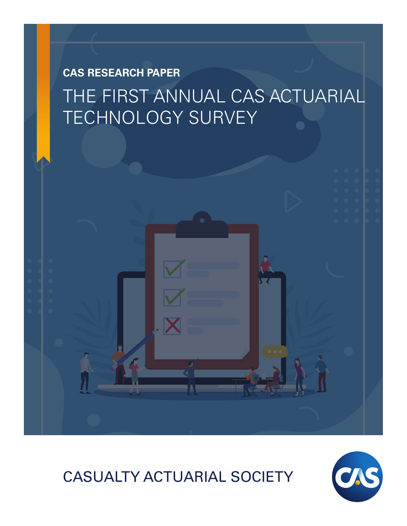## **CAS RESEARCH PAPER** THE FIRST ANNUAL CAS ACTUARIAL TECHNOLOGY SURVEY

## CASUALTY ACTUARIAL SOCIETY

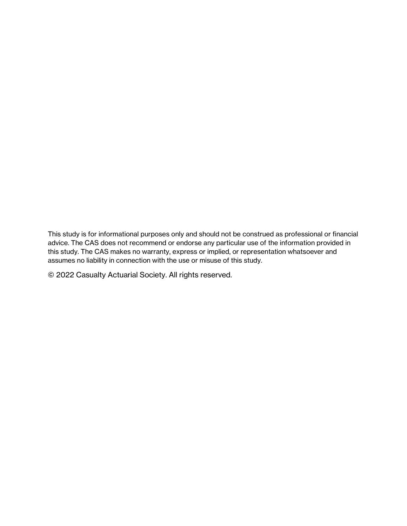This study is for informational purposes only and should not be construed as professional or financial advice. The CAS does not recommend or endorse any particular use of the information provided in this study. The CAS makes no warranty, express or implied, or representation whatsoever and assumes no liability in connection with the use or misuse of this study.

© 2022 Casualty Actuarial Society. All rights reserved.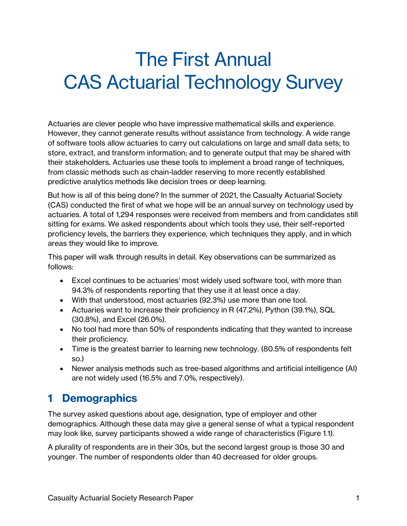# The First Annual CAS Actuarial Technology Survey

Actuaries are clever people who have impressive mathematical skills and experience. However, they cannot generate results without assistance from technology. A wide range of software tools allow actuaries to carry out calculations on large and small data sets; to store, extract, and transform information; and to generate output that may be shared with their stakeholders. Actuaries use these tools to implement a broad range of techniques, from classic methods such as chain-ladder reserving to more recently established predictive analytics methods like decision trees or deep learning.

But how is all of this being done? In the summer of 2021, the Casualty Actuarial Society (CAS) conducted the first of what we hope will be an annual survey on technology used by actuaries. A total of 1,294 responses were received from members and from candidates still sitting for exams. We asked respondents about which tools they use, their self-reported proficiency levels, the barriers they experience, which techniques they apply, and in which areas they would like to improve.

This paper will walk through results in detail. Key observations can be summarized as follows:

- Excel continues to be actuaries' most widely used software tool, with more than 94.3% of respondents reporting that they use it at least once a day.
- With that understood, most actuaries (92.3%) use more than one tool.
- Actuaries want to increase their proficiency in R (47.2%), Python (39.1%), SQL (30.8%), and Excel (26.0%).
- No tool had more than 50% of respondents indicating that they wanted to increase their proficiency.
- Time is the greatest barrier to learning new technology. (80.5% of respondents felt so.)
- Newer analysis methods such as tree-based algorithms and artificial intelligence (AI) are not widely used (16.5% and 7.0%, respectively).

### **1 Demographics**

The survey asked questions about age, designation, type of employer and other demographics. Although these data may give a general sense of what a typical respondent may look like, survey participants showed a wide range of characteristics (Figure 1.1).

A plurality of respondents are in their 30s, but the second largest group is those 30 and younger. The number of respondents older than 40 decreased for older groups.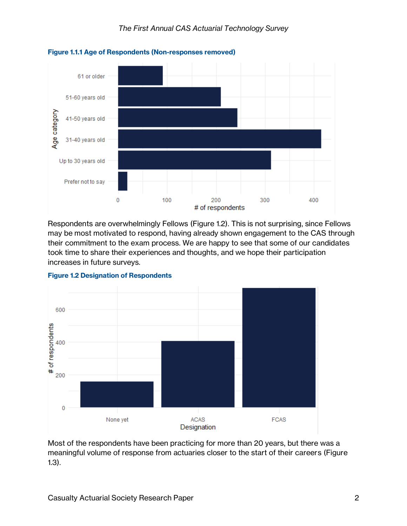

**Figure 1.1.1 Age of Respondents (Non-responses removed)**

Respondents are overwhelmingly Fellows (Figure 1.2). This is not surprising, since Fellows may be most motivated to respond, having already shown engagement to the CAS through their commitment to the exam process. We are happy to see that some of our candidates took time to share their experiences and thoughts, and we hope their participation increases in future surveys.



**Figure 1.2 Designation of Respondents**

Most of the respondents have been practicing for more than 20 years, but there was a meaningful volume of response from actuaries closer to the start of their careers (Figure 1.3).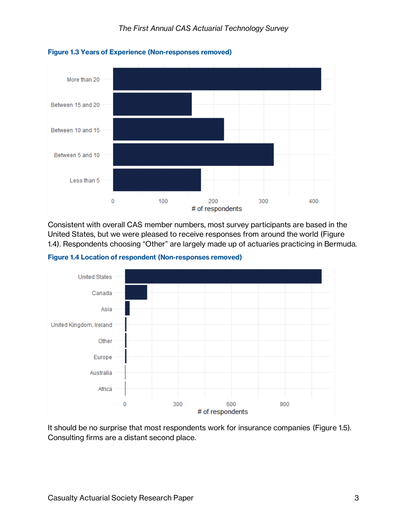

#### **Figure 1.3 Years of Experience (Non-responses removed)**

Consistent with overall CAS member numbers, most survey participants are based in the United States, but we were pleased to receive responses from around the world (Figure 1.4). Respondents choosing "Other" are largely made up of actuaries practicing in Bermuda.

**Figure 1.4 Location of respondent (Non-responses removed)**



It should be no surprise that most respondents work for insurance companies (Figure 1.5). Consulting firms are a distant second place.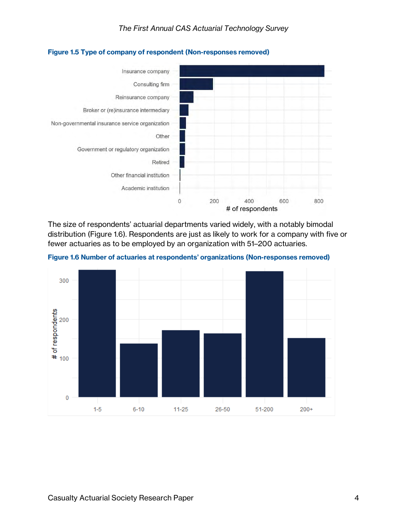



The size of respondents' actuarial departments varied widely, with a notably bimodal distribution (Figure 1.6). Respondents are just as likely to work for a company with five or fewer actuaries as to be employed by an organization with 51–200 actuaries.

**Figure 1.6 Number of actuaries at respondents' organizations (Non-responses removed)**

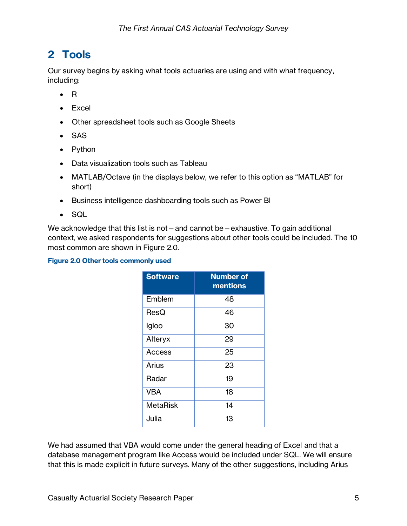### **2 Tools**

Our survey begins by asking what tools actuaries are using and with what frequency, including:

- R
- Excel
- Other spreadsheet tools such as Google Sheets
- SAS
- Python
- Data visualization tools such as Tableau
- MATLAB/Octave (in the displays below, we refer to this option as "MATLAB" for short)
- Business intelligence dashboarding tools such as Power BI
- SQL

We acknowledge that this list is not – and cannot be – exhaustive. To gain additional context, we asked respondents for suggestions about other tools could be included. The 10 most common are shown in Figure 2.0.

#### **Figure 2.0 Other tools commonly used**

| <b>Software</b> | <b>Number of</b><br>mentions |
|-----------------|------------------------------|
| Emblem          | 48                           |
| ResQ            | 46                           |
| Igloo           | 30                           |
| Alteryx         | 29                           |
| Access          | 25                           |
| Arius           | 23                           |
| Radar           | 19                           |
| <b>VBA</b>      | 18                           |
| <b>MetaRisk</b> | 14                           |
| Julia           | 13                           |

We had assumed that VBA would come under the general heading of Excel and that a database management program like Access would be included under SQL. We will ensure that this is made explicit in future surveys. Many of the other suggestions, including Arius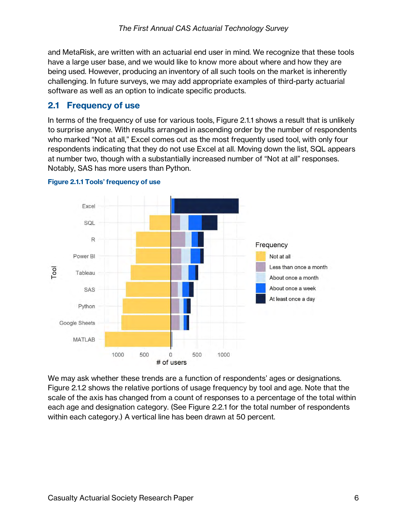and MetaRisk, are written with an actuarial end user in mind. We recognize that these tools have a large user base, and we would like to know more about where and how they are being used. However, producing an inventory of all such tools on the market is inherently challenging. In future surveys, we may add appropriate examples of third-party actuarial software as well as an option to indicate specific products.

#### **2.1 Frequency of use**

In terms of the frequency of use for various tools, Figure 2.1.1 shows a result that is unlikely to surprise anyone. With results arranged in ascending order by the number of respondents who marked "Not at all," Excel comes out as the most frequently used tool, with only four respondents indicating that they do not use Excel at all. Moving down the list, SQL appears at number two, though with a substantially increased number of "Not at all" responses. Notably, SAS has more users than Python.



#### **Figure 2.1.1 Tools' frequency of use**

We may ask whether these trends are a function of respondents' ages or designations. Figure 2.1.2 shows the relative portions of usage frequency by tool and age. Note that the scale of the axis has changed from a count of responses to a percentage of the total within each age and designation category. (See Figure 2.2.1 for the total number of respondents within each category.) A vertical line has been drawn at 50 percent.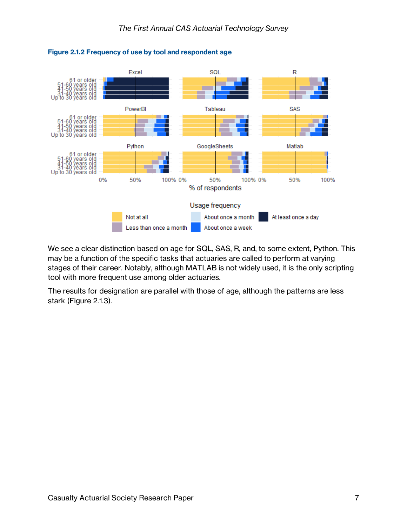

#### **Figure 2.1.2 Frequency of use by tool and respondent age**

We see a clear distinction based on age for SQL, SAS, R, and, to some extent, Python. This may be a function of the specific tasks that actuaries are called to perform at varying stages of their career. Notably, although MATLAB is not widely used, it is the only scripting tool with more frequent use among older actuaries.

The results for designation are parallel with those of age, although the patterns are less stark (Figure 2.1.3).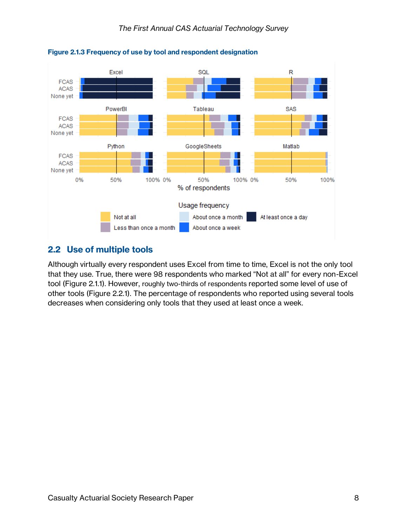

**Figure 2.1.3 Frequency of use by tool and respondent designation**

#### **2.2 Use of multiple tools**

Although virtually every respondent uses Excel from time to time, Excel is not the only tool that they use. True, there were 98 respondents who marked "Not at all" for every non-Excel tool (Figure 2.1.1). However, roughly two-thirds of respondents reported some level of use of other tools (Figure 2.2.1). The percentage of respondents who reported using several tools decreases when considering only tools that they used at least once a week.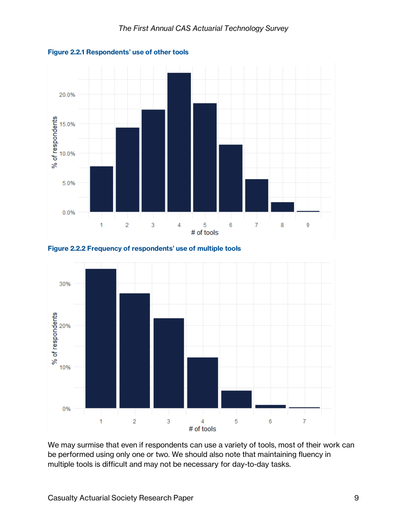







We may surmise that even if respondents can use a variety of tools, most of their work can be performed using only one or two. We should also note that maintaining fluency in multiple tools is difficult and may not be necessary for day-to-day tasks.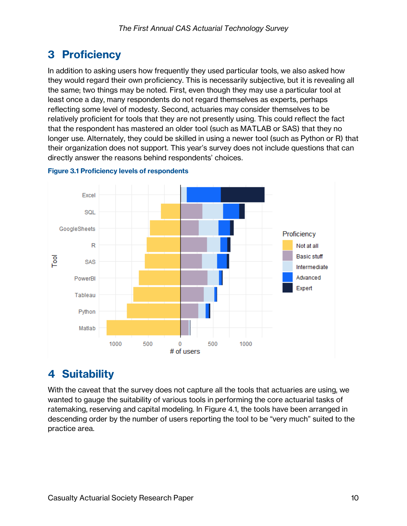### **3 Proficiency**

In addition to asking users how frequently they used particular tools, we also asked how they would regard their own proficiency. This is necessarily subjective, but it is revealing all the same; two things may be noted. First, even though they may use a particular tool at least once a day, many respondents do not regard themselves as experts, perhaps reflecting some level of modesty. Second, actuaries may consider themselves to be relatively proficient for tools that they are not presently using. This could reflect the fact that the respondent has mastered an older tool (such as MATLAB or SAS) that they no longer use. Alternately, they could be skilled in using a newer tool (such as Python or R) that their organization does not support. This year's survey does not include questions that can directly answer the reasons behind respondents' choices.



#### **Figure 3.1 Proficiency levels of respondents**

### **4 Suitability**

With the caveat that the survey does not capture all the tools that actuaries are using, we wanted to gauge the suitability of various tools in performing the core actuarial tasks of ratemaking, reserving and capital modeling. In Figure 4.1, the tools have been arranged in descending order by the number of users reporting the tool to be "very much" suited to the practice area.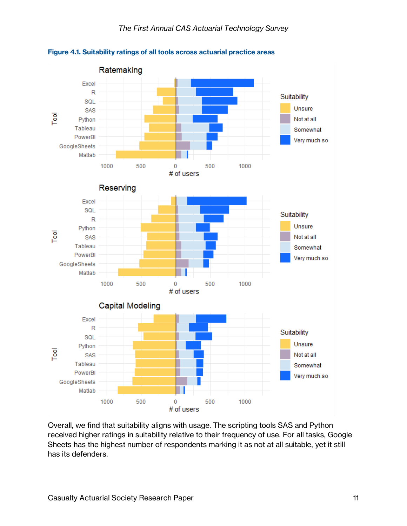

**Figure 4.1. Suitability ratings of all tools across actuarial practice areas**

Overall, we find that suitability aligns with usage. The scripting tools SAS and Python received higher ratings in suitability relative to their frequency of use. For all tasks, Google Sheets has the highest number of respondents marking it as not at all suitable, yet it still has its defenders.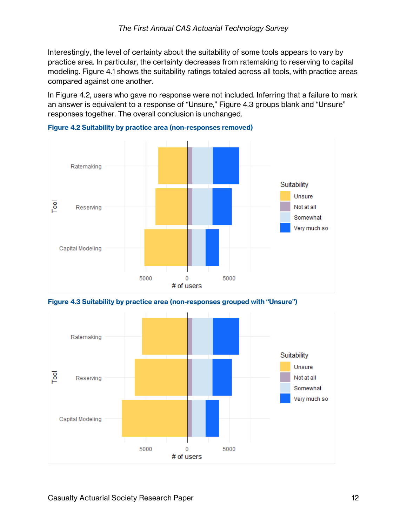Interestingly, the level of certainty about the suitability of some tools appears to vary by practice area. In particular, the certainty decreases from ratemaking to reserving to capital modeling. Figure 4.1 shows the suitability ratings totaled across all tools, with practice areas compared against one another.

In Figure 4.2, users who gave no response were not included. Inferring that a failure to mark an answer is equivalent to a response of "Unsure," Figure 4.3 groups blank and "Unsure" responses together. The overall conclusion is unchanged.



**Figure 4.2 Suitability by practice area (non-responses removed)**

**Figure 4.3 Suitability by practice area (non-responses grouped with "Unsure")**

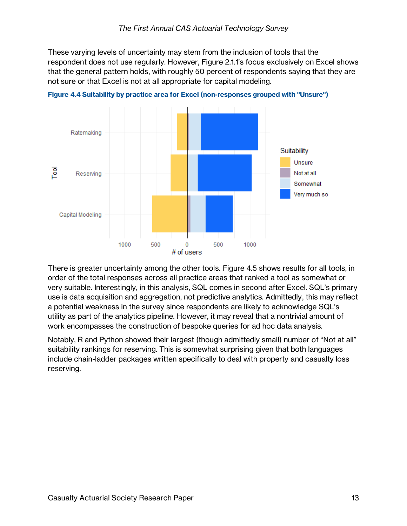These varying levels of uncertainty may stem from the inclusion of tools that the respondent does not use regularly. However, Figure 2.1.1's focus exclusively on Excel shows that the general pattern holds, with roughly 50 percent of respondents saying that they are not sure or that Excel is not at all appropriate for capital modeling.



**Figure 4.4 Suitability by practice area for Excel (non-responses grouped with "Unsure")**

There is greater uncertainty among the other tools. Figure 4.5 shows results for all tools, in order of the total responses across all practice areas that ranked a tool as somewhat or very suitable. Interestingly, in this analysis, SQL comes in second after Excel. SQL's primary use is data acquisition and aggregation, not predictive analytics. Admittedly, this may reflect a potential weakness in the survey since respondents are likely to acknowledge SQL's utility as part of the analytics pipeline. However, it may reveal that a nontrivial amount of work encompasses the construction of bespoke queries for ad hoc data analysis.

Notably, R and Python showed their largest (though admittedly small) number of "Not at all" suitability rankings for reserving. This is somewhat surprising given that both languages include chain-ladder packages written specifically to deal with property and casualty loss reserving.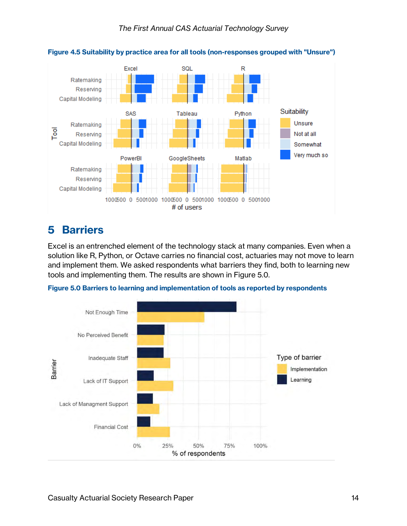

#### **Figure 4.5 Suitability by practice area for all tools (non-responses grouped with "Unsure")**

### **5 Barriers**

Excel is an entrenched element of the technology stack at many companies. Even when a solution like R, Python, or Octave carries no financial cost, actuaries may not move to learn and implement them. We asked respondents what barriers they find, both to learning new tools and implementing them. The results are shown in Figure 5.0.



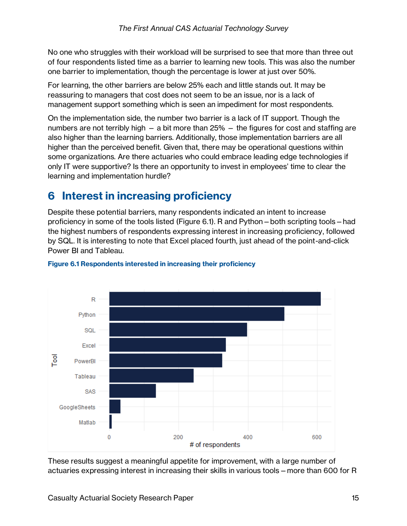No one who struggles with their workload will be surprised to see that more than three out of four respondents listed time as a barrier to learning new tools. This was also the number one barrier to implementation, though the percentage is lower at just over 50%.

For learning, the other barriers are below 25% each and little stands out. It may be reassuring to managers that cost does not seem to be an issue, nor is a lack of management support something which is seen an impediment for most respondents.

On the implementation side, the number two barrier is a lack of IT support. Though the numbers are not terribly high — a bit more than 25% — the figures for cost and staffing are also higher than the learning barriers. Additionally, those implementation barriers are all higher than the perceived benefit. Given that, there may be operational questions within some organizations. Are there actuaries who could embrace leading edge technologies if only IT were supportive? Is there an opportunity to invest in employees' time to clear the learning and implementation hurdle?

### **6 Interest in increasing proficiency**

Despite these potential barriers, many respondents indicated an intent to increase proficiency in some of the tools listed (Figure 6.1). R and Python—both scripting tools—had the highest numbers of respondents expressing interest in increasing proficiency, followed by SQL. It is interesting to note that Excel placed fourth, just ahead of the point-and-click Power BI and Tableau.



#### **Figure 6.1 Respondents interested in increasing their proficiency**

These results suggest a meaningful appetite for improvement, with a large number of actuaries expressing interest in increasing their skills in various tools—more than 600 for R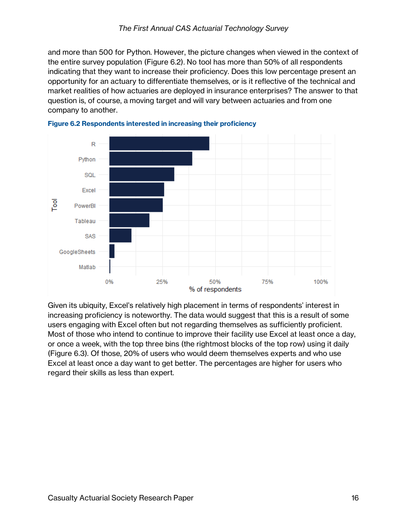and more than 500 for Python. However, the picture changes when viewed in the context of the entire survey population (Figure 6.2). No tool has more than 50% of all respondents indicating that they want to increase their proficiency. Does this low percentage present an opportunity for an actuary to differentiate themselves, or is it reflective of the technical and market realities of how actuaries are deployed in insurance enterprises? The answer to that question is, of course, a moving target and will vary between actuaries and from one company to another.





Given its ubiquity, Excel's relatively high placement in terms of respondents' interest in increasing proficiency is noteworthy. The data would suggest that this is a result of some users engaging with Excel often but not regarding themselves as sufficiently proficient. Most of those who intend to continue to improve their facility use Excel at least once a day, or once a week, with the top three bins (the rightmost blocks of the top row) using it daily (Figure 6.3). Of those, 20% of users who would deem themselves experts and who use Excel at least once a day want to get better. The percentages are higher for users who regard their skills as less than expert.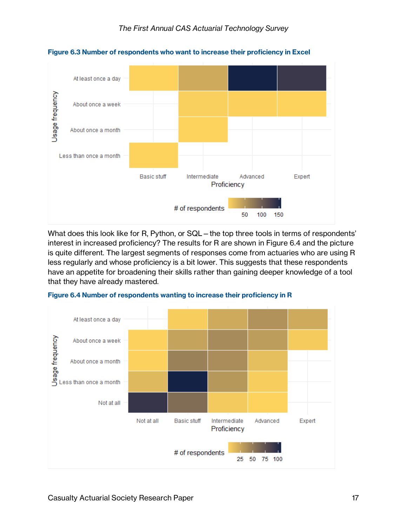

**Figure 6.3 Number of respondents who want to increase their proficiency in Excel**

What does this look like for R, Python, or SQL – the top three tools in terms of respondents' interest in increased proficiency? The results for R are shown in Figure 6.4 and the picture is quite different. The largest segments of responses come from actuaries who are using R less regularly and whose proficiency is a bit lower. This suggests that these respondents have an appetite for broadening their skills rather than gaining deeper knowledge of a tool that they have already mastered.



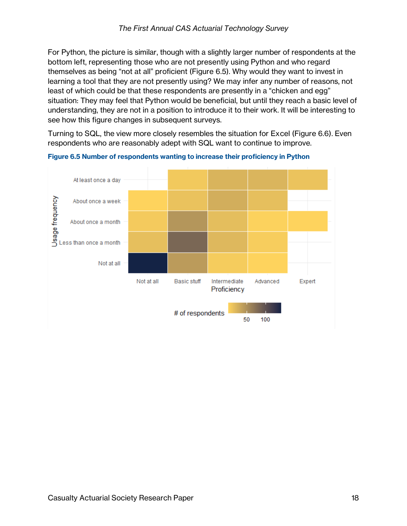For Python, the picture is similar, though with a slightly larger number of respondents at the bottom left, representing those who are not presently using Python and who regard themselves as being "not at all" proficient (Figure 6.5). Why would they want to invest in learning a tool that they are not presently using? We may infer any number of reasons, not least of which could be that these respondents are presently in a "chicken and egg" situation: They may feel that Python would be beneficial, but until they reach a basic level of understanding, they are not in a position to introduce it to their work. It will be interesting to see how this figure changes in subsequent surveys.

Turning to SQL, the view more closely resembles the situation for Excel (Figure 6.6). Even respondents who are reasonably adept with SQL want to continue to improve.



**Figure 6.5 Number of respondents wanting to increase their proficiency in Python**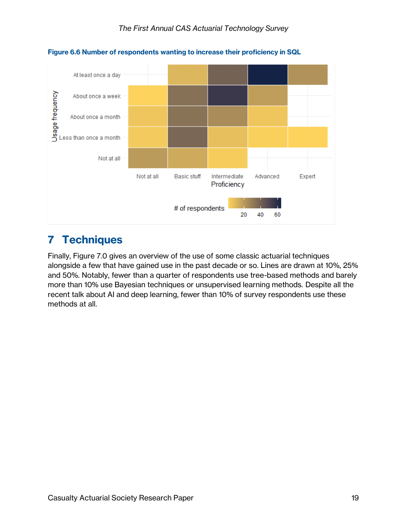

**Figure 6.6 Number of respondents wanting to increase their proficiency in SQL**

### **7 Techniques**

Finally, Figure 7.0 gives an overview of the use of some classic actuarial techniques alongside a few that have gained use in the past decade or so. Lines are drawn at 10%, 25% and 50%. Notably, fewer than a quarter of respondents use tree-based methods and barely more than 10% use Bayesian techniques or unsupervised learning methods. Despite all the recent talk about AI and deep learning, fewer than 10% of survey respondents use these methods at all.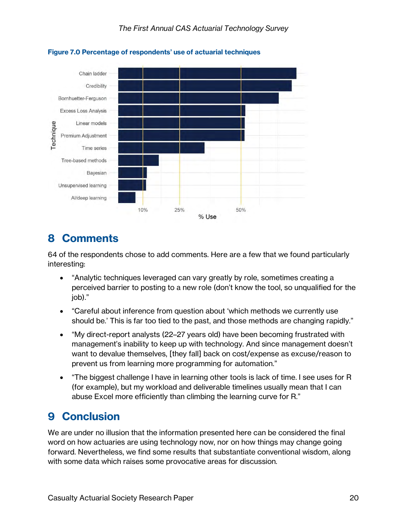

**Figure 7.0 Percentage of respondents' use of actuarial techniques**

### **8 Comments**

64 of the respondents chose to add comments. Here are a few that we found particularly interesting:

- "Analytic techniques leveraged can vary greatly by role, sometimes creating a perceived barrier to posting to a new role (don't know the tool, so unqualified for the job)."
- "Careful about inference from question about 'which methods we currently use should be.' This is far too tied to the past, and those methods are changing rapidly."
- "My direct-report analysts (22–27 years old) have been becoming frustrated with management's inability to keep up with technology. And since management doesn't want to devalue themselves, [they fall] back on cost/expense as excuse/reason to prevent us from learning more programming for automation."
- "The biggest challenge I have in learning other tools is lack of time. I see uses for R (for example), but my workload and deliverable timelines usually mean that I can abuse Excel more efficiently than climbing the learning curve for R."

### **9 Conclusion**

We are under no illusion that the information presented here can be considered the final word on how actuaries are using technology now, nor on how things may change going forward. Nevertheless, we find some results that substantiate conventional wisdom, along with some data which raises some provocative areas for discussion.